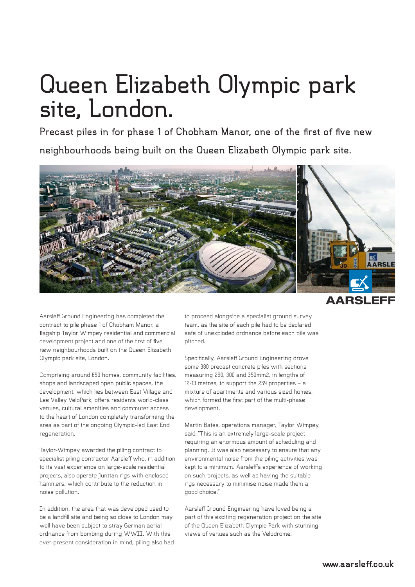## **Queen Elizabeth Olympic park site, London.**

**Precast piles in for phase 1 of Chobham Manor, one of the first of five new neighbourhoods being built on the Queen Elizabeth Olympic park site.**



**AARSLEFF** 

Aarsleff Ground Engineering has completed the contract to pile phase 1 of Chobham Manor, a flagship Taylor Wimpey residential and commercial development project and one of the first of five new neighbourhoods built on the Queen Elizabeth Olympic park site, London.

Comprising around 850 homes, community facilities, shops and landscaped open public spaces, the development, which lies between East Village and Lee Valley VeloPark, offers residents world-class venues, cultural amenities and commuter access to the heart of London completely transforming the area as part of the ongoing Olympic-led East End regeneration.

Taylor-Wimpey awarded the piling contract to specialist piling contractor Aarsleff who, in addition to its vast experience on large-scale residential projects, also operate Junttan rigs with enclosed hammers, which contribute to the reduction in noise pollution.

In addition, the area that was developed used to be a landfill site and being so close to London may well have been subject to stray German aerial ordnance from bombing during WWII. With this ever-present consideration in mind, piling also had to proceed alongside a specialist ground survey team, as the site of each pile had to be declared safe of unexploded ordnance before each pile was pitched.

Specifically, Aarsleff Ground Engineering drove some 380 precast concrete piles with sections measuring 250, 300 and 350mm2, in lengths of 12-13 metres, to support the 259 properties – a mixture of apartments and various sized homes, which formed the first part of the multi-phase development.

Martin Bates, operations manager, Taylor Wimpey, said: "This is an extremely large-scale project requiring an enormous amount of scheduling and planning. It was also necessary to ensure that any environmental noise from the piling activities was kept to a minimum. Aarsleff's experience of working on such projects, as well as having the suitable rigs necessary to minimise noise made them a good choice."

Aarsleff Ground Engineering have loved being a part of this exciting regeneration project on the site of the Queen Elizabeth Olympic Park with stunning views of venues such as the Velodrome.